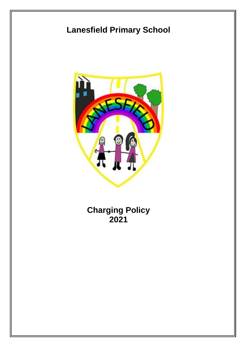# **Lanesfield Primary School**



**Charging Policy 2021**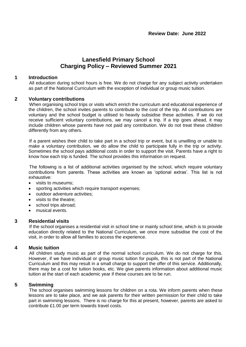# **Lanesfield Primary School Charging Policy – Reviewed Summer 2021**

#### **1 Introduction**

All education during school hours is free. We do not charge for any subject activity undertaken as part of the National Curriculum with the exception of individual or group music tuition.

#### **2 Voluntary contributions**

When organising school trips or visits which enrich the curriculum and educational experience of the children, the school invites parents to contribute to the cost of the trip. All contributions are voluntary and the school budget is utilised to heavily subsidise these activities. If we do not receive sufficient voluntary contributions, we may cancel a trip. If a trip goes ahead, it may include children whose parents have not paid any contribution. We do not treat these children differently from any others.

If a parent wishes their child to take part in a school trip or event, but is unwilling or unable to make a voluntary contribution, we do allow the child to participate fully in the trip or activity. Sometimes the school pays additional costs in order to support the visit. Parents have a right to know how each trip is funded. The school provides this information on request.

The following is a list of additional activities organised by the school, which require voluntary contributions from parents. These activities are known as 'optional extras'. This list is not exhaustive:

- visits to museums;
- sporting activities which require transport expenses;
- outdoor adventure activities;
- visits to the theatre;
- school trips abroad;
- musical events.

#### **3 Residential visits**

If the school organises a residential visit in school time or mainly school time, which is to provide education directly related to the National Curriculum, we once more subsidise the cost of the visit, in order to allow all families to access the experience.

#### **4 Music tuition**

All children study music as part of the normal school curriculum. We do not charge for this. However, if we have individual or group music tuition for pupils, this is not part of the National Curriculum and this may result in a small charge to support the offer of this service. Additionally, there may be a cost for tuition books, etc. We give parents information about additional music tuition at the start of each academic year if these courses are to be run.

#### **5 Swimming**

The school organises swimming lessons for children on a rota. We inform parents when these lessons are to take place, and we ask parents for their written permission for their child to take part in swimming lessons. There is no charge for this at present, however, parents are asked to contribute £1.00 per term towards travel costs.